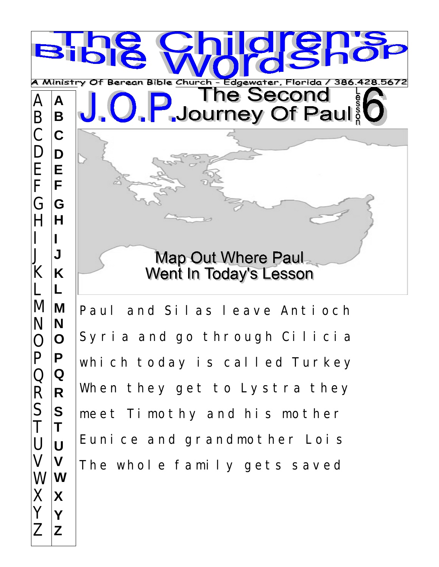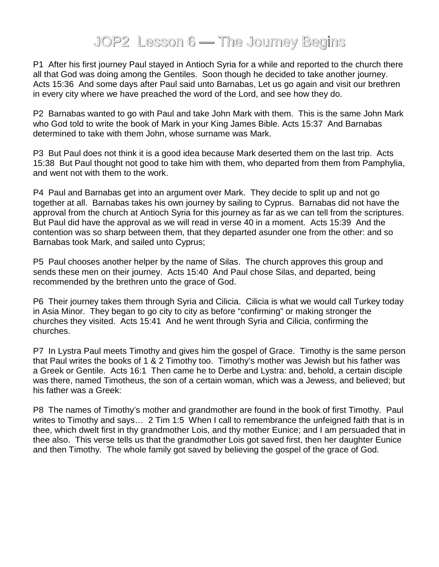## JOP2 Lesson 6 — The Journey Begins

P1 After his first journey Paul stayed in Antioch Syria for a while and reported to the church there all that God was doing among the Gentiles. Soon though he decided to take another journey. Acts 15:36 And some days after Paul said unto Barnabas, Let us go again and visit our brethren in every city where we have preached the word of the Lord, and see how they do.

P2 Barnabas wanted to go with Paul and take John Mark with them. This is the same John Mark who God told to write the book of Mark in your King James Bible. Acts 15:37 And Barnabas determined to take with them John, whose surname was Mark.

P3 But Paul does not think it is a good idea because Mark deserted them on the last trip. Acts 15:38 But Paul thought not good to take him with them, who departed from them from Pamphylia, and went not with them to the work.

P4 Paul and Barnabas get into an argument over Mark. They decide to split up and not go together at all. Barnabas takes his own journey by sailing to Cyprus. Barnabas did not have the approval from the church at Antioch Syria for this journey as far as we can tell from the scriptures. But Paul did have the approval as we will read in verse 40 in a moment. Acts 15:39 And the contention was so sharp between them, that they departed asunder one from the other: and so Barnabas took Mark, and sailed unto Cyprus;

P5 Paul chooses another helper by the name of Silas. The church approves this group and sends these men on their journey. Acts 15:40 And Paul chose Silas, and departed, being recommended by the brethren unto the grace of God.

P6 Their journey takes them through Syria and Cilicia. Cilicia is what we would call Turkey today in Asia Minor. They began to go city to city as before "confirming" or making stronger the churches they visited. Acts 15:41 And he went through Syria and Cilicia, confirming the churches.

P7 In Lystra Paul meets Timothy and gives him the gospel of Grace. Timothy is the same person that Paul writes the books of 1 & 2 Timothy too. Timothy's mother was Jewish but his father was a Greek or Gentile. Acts 16:1 Then came he to Derbe and Lystra: and, behold, a certain disciple was there, named Timotheus, the son of a certain woman, which was a Jewess, and believed; but his father was a Greek:

P8 The names of Timothy's mother and grandmother are found in the book of first Timothy. Paul writes to Timothy and says... 2 Tim 1:5 When I call to remembrance the unfeigned faith that is in thee, which dwelt first in thy grandmother Lois, and thy mother Eunice; and I am persuaded that in thee also. This verse tells us that the grandmother Lois got saved first, then her daughter Eunice and then Timothy. The whole family got saved by believing the gospel of the grace of God.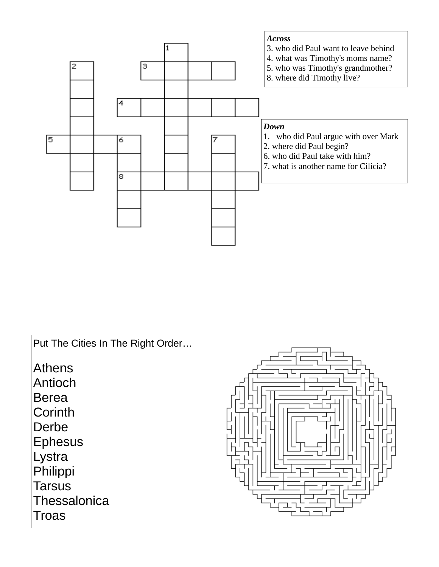

Put The Cities In The Right Order… Athens Antioch Berea **Corinth** Derbe Ephesus Lystra Philippi **Tarsus Thessalonica** Troas